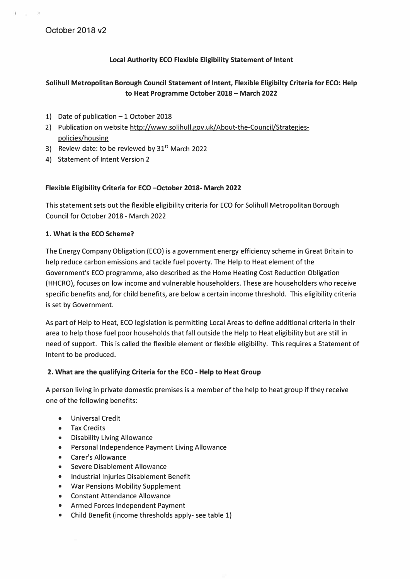### **Local Authority ECO Flexible Eligibility Statement of Intent**

# **Solihull Metropolitan Borough Council Statement of Intent, Flexible Eligibilty Criteria for ECO: Help to Heat Programme October 2018 - March 2022**

- 1) Date of publication  $-1$  October 2018
- 2) Publication on website http://www.solihull.gov.uk/About-the-Council/Strategiespolicies/housing
- 3) Review date: to be reviewed by  $31<sup>st</sup>$  March 2022
- 4) Statement of Intent Version 2

### **Flexible Eligibility Criteria for ECO -October 2018- March 2022**

This statement sets out the flexible eligibility criteria for ECO for Solihull Metropolitan Borough Council for October 2018 - March 2022

### **1. What is the ECO Scheme?**

The Energy Company Obligation (ECO) is a government energy efficiency scheme in Great Britain to help reduce carbon emissions and tackle fuel poverty. The Help to Heat element of the Government's ECO programme, also described as the Home Heating Cost Reduction Obligation (HHCRO), focuses on low income and vulnerable householders. These are householders who receive specific benefits and, for child benefits, are below a certain income threshold. This eligibility criteria is set by Government.

As part of Help to Heat, ECO legislation is permitting Local Areas to define additional criteria in their area to help those fuel poor households that fall outside the Help to Heat eligibility but are still in need of support. This is called the flexible element or flexible eligibility. This requires a Statement of Intent to be produced.

### **2. What are the qualifying Criteria for the ECO - Help to Heat Group**

A person living in private domestic premises is a member of the help to heat group if they receive one of the following benefits:

- Universal Credit
- Tax Credits
- Disability Living Allowance
- Personal Independence Payment Living Allowance
- Carer's Allowance
- Severe Disablement Allowance
- Industrial Injuries Disablement Benefit
- War Pensions Mobility Supplement
- Constant Attendance Allowance
- Armed Forces Independent Payment
- Child Benefit (income thresholds apply- see table 1)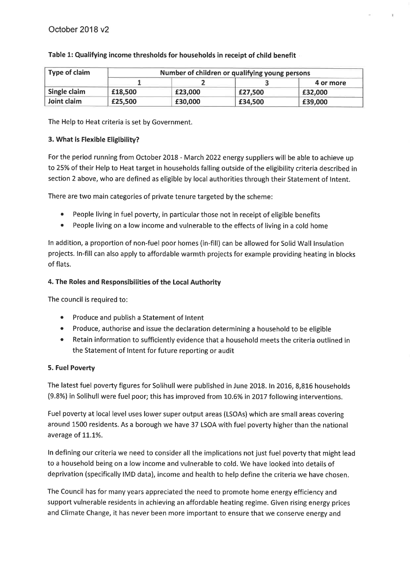| Type of claim | Number of children or qualifying young persons |         |         |           |  |
|---------------|------------------------------------------------|---------|---------|-----------|--|
|               |                                                |         |         | 4 or more |  |
| Single claim  | £18,500                                        | £23,000 | £27,500 | £32,000   |  |
| Joint claim   | £25,500                                        | £30,000 | £34,500 | £39,000   |  |

### Table 1: Qualifying income thresholds for households in receipt of child benefit

The Help to Heat criteria is set by Government.

### 3. What is Flexible Eligibility?

For the period running from October 2018 - March 2022 energy suppliers will be able to achieve up to 25% of their Help to Heat target in households falling outside of the eligibility criteria described in section 2 above, who are defined as eligible by local authorities through their Statement of Intent.

There are two main categories of private tenure targeted by the scheme:

- People living in fuel poverty, in particular those not in receipt of eligible benefits  $\bullet$
- People living on a low income and vulnerable to the effects of living in a cold home  $\bullet$

In addition, a proportion of non-fuel poor homes (in-fill) can be allowed for Solid Wall Insulation projects. In-fill can also apply to affordable warmth projects for example providing heating in blocks of flats.

### 4. The Roles and Responsibilities of the Local Authority

The council is required to:

- Produce and publish a Statement of Intent
- Produce, authorise and issue the declaration determining a household to be eligible
- Retain information to sufficiently evidence that a household meets the criteria outlined in the Statement of Intent for future reporting or audit

### 5. Fuel Poverty

The latest fuel poverty figures for Solihull were published in June 2018. In 2016, 8,816 households (9.8%) in Solihull were fuel poor; this has improved from 10.6% in 2017 following interventions.

Fuel poverty at local level uses lower super output areas (LSOAs) which are small areas covering around 1500 residents. As a borough we have 37 LSOA with fuel poverty higher than the national average of 11.1%.

In defining our criteria we need to consider all the implications not just fuel poverty that might lead to a household being on a low income and vulnerable to cold. We have looked into details of deprivation (specifically IMD data), income and health to help define the criteria we have chosen.

The Council has for many years appreciated the need to promote home energy efficiency and support vulnerable residents in achieving an affordable heating regime. Given rising energy prices and Climate Change, it has never been more important to ensure that we conserve energy and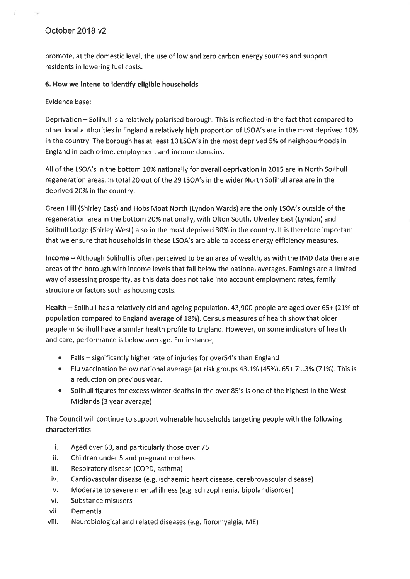# October 2018 v2

promote, at the domestic level, the use of low and zero carbon energy sources and support residents in lowering fuel costs.

#### 6. How we intend to identify eligible households

Evidence base:

Deprivation – Solihull is a relatively polarised borough. This is reflected in the fact that compared to other local authorities in England a relatively high proportion of LSOA's are in the most deprived 10% in the country. The borough has at least 10 LSOA's in the most deprived 5% of neighbourhoods in England in each crime, employment and income domains.

All of the LSOA's in the bottom 10% nationally for overall deprivation in 2015 are in North Solihull regeneration areas. In total 20 out of the 29 LSOA's in the wider North Solihull area are in the deprived 20% in the country.

Green Hill (Shirley East) and Hobs Moat North (Lyndon Wards) are the only LSOA's outside of the regeneration area in the bottom 20% nationally, with Olton South, Ulverley East (Lyndon) and Solihull Lodge (Shirley West) also in the most deprived 30% in the country. It is therefore important that we ensure that households in these LSOA's are able to access energy efficiency measures.

Income – Although Solihull is often perceived to be an area of wealth, as with the IMD data there are areas of the borough with income levels that fall below the national averages. Earnings are a limited way of assessing prosperity, as this data does not take into account employment rates, family structure or factors such as housing costs.

Health - Solihull has a relatively old and ageing population. 43,900 people are aged over 65+ (21% of population compared to England average of 18%). Census measures of health show that older people in Solihull have a similar health profile to England. However, on some indicators of health and care, performance is below average. For instance,

- Falls significantly higher rate of injuries for over 54's than England
- Flu vaccination below national average (at risk groups 43.1% (45%), 65+71.3% (71%). This is a reduction on previous year.
- Solihull figures for excess winter deaths in the over 85's is one of the highest in the West  $\bullet$ Midlands (3 year average)

The Council will continue to support vulnerable households targeting people with the following characteristics

- i. Aged over 60, and particularly those over 75
- ii. Children under 5 and pregnant mothers
- Respiratory disease (COPD, asthma) iii.
- iv. Cardiovascular disease (e.g. ischaemic heart disease, cerebrovascular disease)
- v. Moderate to severe mental illness (e.g. schizophrenia, bipolar disorder)
- vi. Substance misusers
- vii. Dementia
- viii. Neurobiological and related diseases (e.g. fibromyalgia, ME)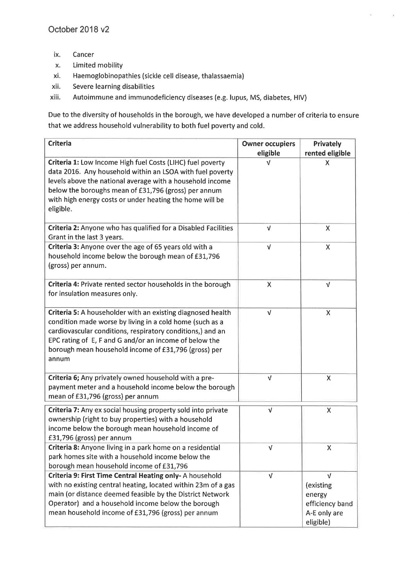- ix. Cancer
- Limited mobility  $\mathsf{x}$ .
- xi. Haemoglobinopathies (sickle cell disease, thalassaemia)
- xii. Severe learning disabilities
- xiii. Autoimmune and immunodeficiency diseases (e.g. lupus, MS, diabetes, HIV)

Due to the diversity of households in the borough, we have developed a number of criteria to ensure that we address household vulnerability to both fuel poverty and cold.

| <b>Criteria</b>                                                                                                                                                                                                                                                                                                       | <b>Owner occupiers</b><br>eligible | Privately<br>rented eligible                                             |
|-----------------------------------------------------------------------------------------------------------------------------------------------------------------------------------------------------------------------------------------------------------------------------------------------------------------------|------------------------------------|--------------------------------------------------------------------------|
| Criteria 1: Low Income High fuel Costs (LIHC) fuel poverty<br>data 2016. Any household within an LSOA with fuel poverty<br>levels above the national average with a household income<br>below the boroughs mean of £31,796 (gross) per annum<br>with high energy costs or under heating the home will be<br>eligible. | ν                                  | X                                                                        |
| Criteria 2: Anyone who has qualified for a Disabled Facilities<br>Grant in the last 3 years.                                                                                                                                                                                                                          | $\sqrt{ }$                         | X                                                                        |
| Criteria 3: Anyone over the age of 65 years old with a<br>household income below the borough mean of £31,796<br>(gross) per annum.                                                                                                                                                                                    | $\sqrt{ }$                         | $\mathsf{X}$                                                             |
| Criteria 4: Private rented sector households in the borough<br>for insulation measures only.                                                                                                                                                                                                                          | $\pmb{\mathsf{X}}$                 | $\sqrt{ }$                                                               |
| Criteria 5: A householder with an existing diagnosed health<br>condition made worse by living in a cold home (such as a<br>cardiovascular conditions, respiratory conditions,) and an<br>EPC rating of E, F and G and/or an income of below the<br>borough mean household income of £31,796 (gross) per<br>annum      | $\sqrt{ }$                         | X                                                                        |
| Criteria 6; Any privately owned household with a pre-<br>payment meter and a household income below the borough<br>mean of £31,796 (gross) per annum                                                                                                                                                                  | Λ                                  | $\pmb{\mathsf{X}}$                                                       |
| Criteria 7: Any ex social housing property sold into private<br>ownership (right to buy properties) with a household<br>income below the borough mean household income of<br>£31,796 (gross) per annum                                                                                                                | $\sqrt{ }$                         | $\pmb{\mathsf{X}}$                                                       |
| Criteria 8: Anyone living in a park home on a residential<br>park homes site with a household income below the<br>borough mean household income of £31,796                                                                                                                                                            | v                                  | Χ                                                                        |
| Criteria 9: First Time Central Heating only-A household<br>with no existing central heating, located within 23m of a gas<br>main (or distance deemed feasible by the District Network<br>Operator) and a household income below the borough<br>mean household income of £31,796 (gross) per annum                     | $\sqrt{ }$                         | v<br>(existing<br>energy<br>efficiency band<br>A-E only are<br>eligible) |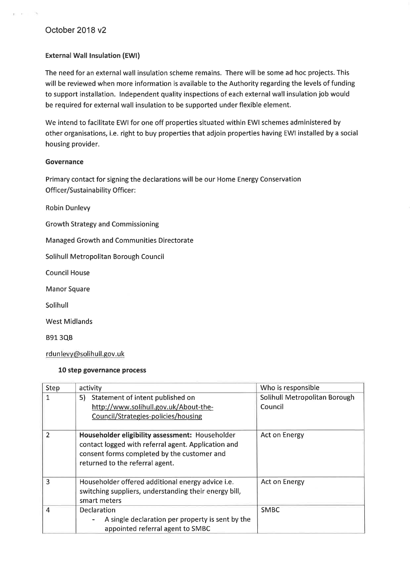# October 2018 v2

#### **External Wall Insulation (EWI)**

The need for an external wall insulation scheme remains. There will be some ad hoc projects. This will be reviewed when more information is available to the Authority regarding the levels of funding to support installation. Independent quality inspections of each external wall insulation job would be required for external wall insulation to be supported under flexible element.

We intend to facilitate EWI for one off properties situated within EWI schemes administered by other organisations, i.e. right to buy properties that adjoin properties having EWI installed by a social housing provider.

#### Governance

Primary contact for signing the declarations will be our Home Energy Conservation **Officer/Sustainability Officer:** 

**Robin Dunlevy** 

**Growth Strategy and Commissioning** 

Managed Growth and Communities Directorate

Solihull Metropolitan Borough Council

**Council House** 

**Manor Square** 

Solihull

**West Midlands** 

**B913QB** 

rdunlevy@solihull.gov.uk

#### 10 step governance process

| Step           | activity                                                                                                                                                                                 | Who is responsible                       |
|----------------|------------------------------------------------------------------------------------------------------------------------------------------------------------------------------------------|------------------------------------------|
| 1              | 5) Statement of intent published on<br>http://www.solihull.gov.uk/About-the-<br>Council/Strategies-policies/housing                                                                      | Solihull Metropolitan Borough<br>Council |
| 2              | Householder eligibility assessment: Householder<br>contact logged with referral agent. Application and<br>consent forms completed by the customer and<br>returned to the referral agent. | Act on Energy                            |
| ٩              | Householder offered additional energy advice i.e.<br>switching suppliers, understanding their energy bill,<br>smart meters                                                               | Act on Energy                            |
| $\overline{4}$ | <b>Declaration</b><br>A single declaration per property is sent by the<br>appointed referral agent to SMBC                                                                               | <b>SMBC</b>                              |